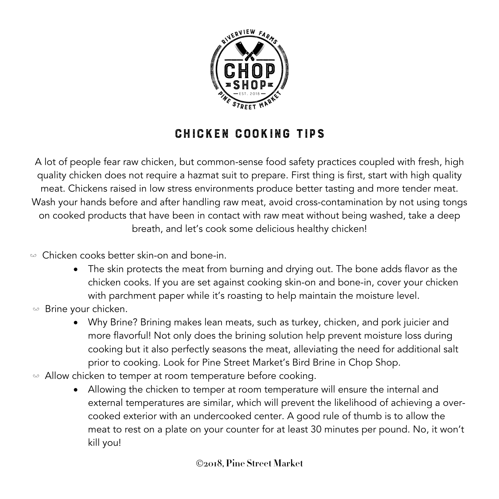

## chicken cooking tips

A lot of people fear raw chicken, but common-sense food safety practices coupled with fresh, high quality chicken does not require a hazmat suit to prepare. First thing is first, start with high quality meat. Chickens raised in low stress environments produce better tasting and more tender meat. Wash your hands before and after handling raw meat, avoid cross-contamination by not using tongs on cooked products that have been in contact with raw meat without being washed, take a deep breath, and let's cook some delicious healthy chicken!

 $\omega$  Chicken cooks better skin-on and bone-in.

- The skin protects the meat from burning and drying out. The bone adds flavor as the chicken cooks. If you are set against cooking skin-on and bone-in, cover your chicken with parchment paper while it's roasting to help maintain the moisture level.
- $\omega$  Brine your chicken.
	- Why Brine? Brining makes lean meats, such as turkey, chicken, and pork juicier and more flavorful! Not only does the brining solution help prevent moisture loss during cooking but it also perfectly seasons the meat, alleviating the need for additional salt prior to cooking. Look for Pine Street Market's Bird Brine in Chop Shop.
- $\omega$  Allow chicken to temper at room temperature before cooking.
	- Allowing the chicken to temper at room temperature will ensure the internal and external temperatures are similar, which will prevent the likelihood of achieving a overcooked exterior with an undercooked center. A good rule of thumb is to allow the meat to rest on a plate on your counter for at least 30 minutes per pound. No, it won't kill you!

Ó**2018, Pine Street Market**